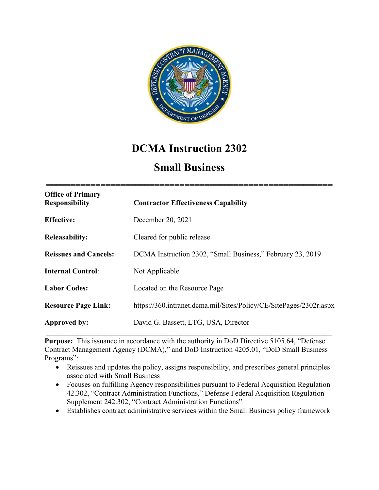

# **DCMA Instruction 2302**

# **Small Business**

| <b>Office of Primary</b><br><b>Responsibility</b> | <b>Contractor Effectiveness Capability</b>                         |
|---------------------------------------------------|--------------------------------------------------------------------|
| <b>Effective:</b>                                 | December 20, 2021                                                  |
| <b>Releasability:</b>                             | Cleared for public release                                         |
| <b>Reissues and Cancels:</b>                      | DCMA Instruction 2302, "Small Business," February 23, 2019         |
| <b>Internal Control:</b>                          | Not Applicable                                                     |
| <b>Labor Codes:</b>                               | Located on the Resource Page                                       |
| <b>Resource Page Link:</b>                        | https://360.intranet.dcma.mil/Sites/Policy/CE/SitePages/2302r.aspx |
| Approved by:                                      | David G. Bassett, LTG, USA, Director                               |
|                                                   |                                                                    |

**Purpose:** This issuance in accordance with the authority in DoD Directive 5105.64, "Defense Contract Management Agency (DCMA)," and DoD Instruction 4205.01, "DoD Small Business Programs":

- Reissues and updates the policy, assigns responsibility, and prescribes general principles associated with Small Business
- Focuses on fulfilling Agency responsibilities pursuant to Federal Acquisition Regulation 42.302, "Contract Administration Functions," Defense Federal Acquisition Regulation Supplement 242.302, "Contract Administration Functions"
- Establishes contract administrative services within the Small Business policy framework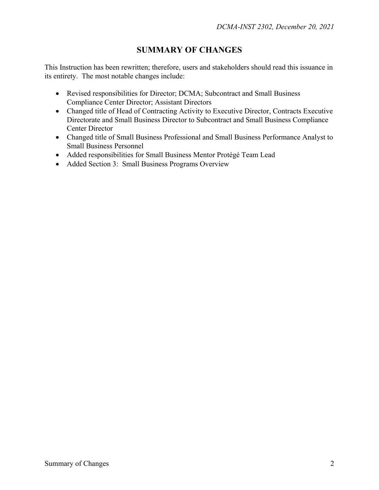## **SUMMARY OF CHANGES**

This Instruction has been rewritten; therefore, users and stakeholders should read this issuance in its entirety. The most notable changes include:

- Revised responsibilities for Director; DCMA; Subcontract and Small Business Compliance Center Director; Assistant Directors
- Changed title of Head of Contracting Activity to Executive Director, Contracts Executive Directorate and Small Business Director to Subcontract and Small Business Compliance Center Director
- Changed title of Small Business Professional and Small Business Performance Analyst to Small Business Personnel
- Added responsibilities for Small Business Mentor Protégé Team Lead
- Added Section 3: Small Business Programs Overview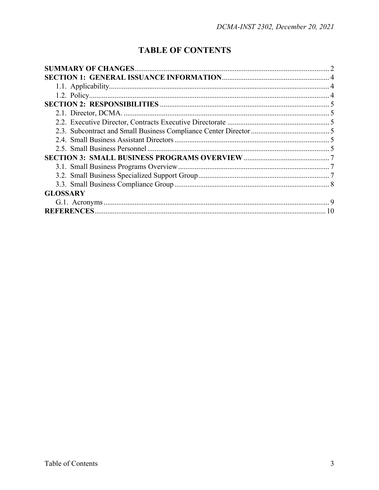# **TABLE OF CONTENTS**

| <b>GLOSSARY</b> |  |
|-----------------|--|
|                 |  |
|                 |  |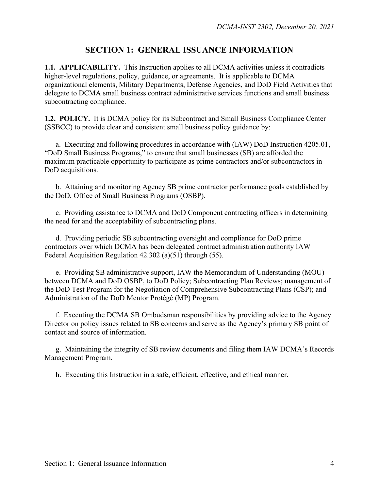## **SECTION 1: GENERAL ISSUANCE INFORMATION**

**1.1. APPLICABILITY.** This Instruction applies to all DCMA activities unless it contradicts higher-level regulations, policy, guidance, or agreements. It is applicable to DCMA organizational elements, Military Departments, Defense Agencies, and DoD Field Activities that delegate to DCMA small business contract administrative services functions and small business subcontracting compliance.

**1.2. POLICY.** It is DCMA policy for its Subcontract and Small Business Compliance Center (SSBCC) to provide clear and consistent small business policy guidance by:

 a. Executing and following procedures in accordance with (IAW) DoD Instruction 4205.01, "DoD Small Business Programs," to ensure that small businesses (SB) are afforded the maximum practicable opportunity to participate as prime contractors and/or subcontractors in DoD acquisitions.

b. Attaining and monitoring Agency SB prime contractor performance goals established by the DoD, Office of Small Business Programs (OSBP).

 c. Providing assistance to DCMA and DoD Component contracting officers in determining the need for and the acceptability of subcontracting plans.

 d. Providing periodic SB subcontracting oversight and compliance for DoD prime contractors over which DCMA has been delegated contract administration authority IAW Federal Acquisition Regulation 42.302 (a)(51) through (55).

 e. Providing SB administrative support, IAW the Memorandum of Understanding (MOU) between DCMA and DoD OSBP, to DoD Policy; Subcontracting Plan Reviews; management of the DoD Test Program for the Negotiation of Comprehensive Subcontracting Plans (CSP); and Administration of the DoD Mentor Protégé (MP) Program.

 f. Executing the DCMA SB Ombudsman responsibilities by providing advice to the Agency Director on policy issues related to SB concerns and serve as the Agency's primary SB point of contact and source of information.

 g. Maintaining the integrity of SB review documents and filing them IAW DCMA's Records Management Program.

h. Executing this Instruction in a safe, efficient, effective, and ethical manner.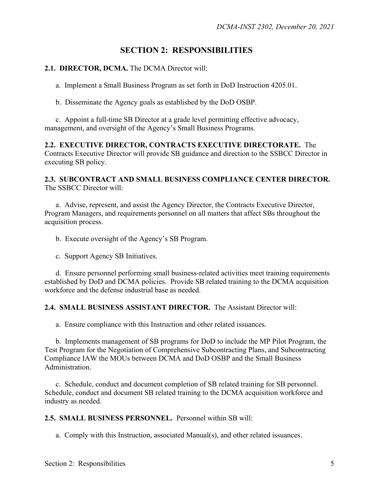## **SECTION 2: RESPONSIBILITIES**

### **2.1. DIRECTOR, DCMA.** The DCMA Director will:

a. Implement a Small Business Program as set forth in DoD Instruction 4205.01.

b. Disseminate the Agency goals as established by the DoD OSBP.

 c. Appoint a full-time SB Director at a grade level permitting effective advocacy, management, and oversight of the Agency's Small Business Programs.

**2.2. EXECUTIVE DIRECTOR, CONTRACTS EXECUTIVE DIRECTORATE.** The Contracts Executive Director will provide SB guidance and direction to the SSBCC Director in executing SB policy.

#### **2.3. SUBCONTRACT AND SMALL BUSINESS COMPLIANCE CENTER DIRECTOR.** The SSBCC Director will:

a. Advise, represent, and assist the Agency Director, the Contracts Executive Director, Program Managers, and requirements personnel on all matters that affect SBs throughout the acquisition process.

b. Execute oversight of the Agency's SB Program.

c. Support Agency SB Initiatives.

 d. Ensure personnel performing small business-related activities meet training requirements established by DoD and DCMA policies. Provide SB related training to the DCMA acquisition workforce and the defense industrial base as needed.

## **2.4. SMALL BUSINESS ASSISTANT DIRECTOR.** The Assistant Director will:

a. Ensure compliance with this Instruction and other related issuances.

 b. Implements management of SB programs for DoD to include the MP Pilot Program, the Test Program for the Negotiation of Comprehensive Subcontracting Plans, and Subcontracting Compliance IAW the MOUs between DCMA and DoD OSBP and the Small Business Administration.

 c. Schedule, conduct and document completion of SB related training for SB personnel. Schedule, conduct and document SB related training to the DCMA acquisition workforce and industry as needed.

**2.5. SMALL BUSINESS PERSONNEL.** Personnel within SB will:

a. Comply with this Instruction, associated Manual(s), and other related issuances.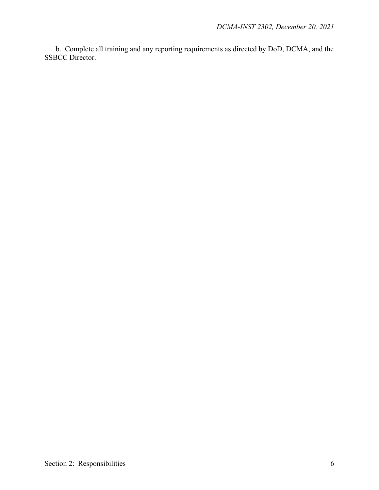b. Complete all training and any reporting requirements as directed by DoD, DCMA, and the SSBCC Director.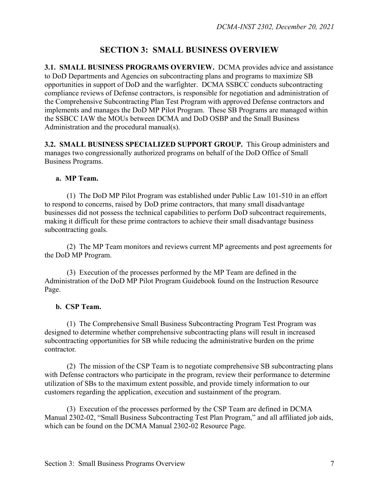# **SECTION 3: SMALL BUSINESS OVERVIEW**

**3.1. SMALL BUSINESS PROGRAMS OVERVIEW.** DCMA provides advice and assistance to DoD Departments and Agencies on subcontracting plans and programs to maximize SB opportunities in support of DoD and the warfighter. DCMA SSBCC conducts subcontracting compliance reviews of Defense contractors, is responsible for negotiation and administration of the Comprehensive Subcontracting Plan Test Program with approved Defense contractors and implements and manages the DoD MP Pilot Program. These SB Programs are managed within the SSBCC IAW the MOUs between DCMA and DoD OSBP and the Small Business Administration and the procedural manual(s).

**3.2. SMALL BUSINESS SPECIALIZED SUPPORT GROUP.** This Group administers and manages two congressionally authorized programs on behalf of the DoD Office of Small Business Programs.

### **a. MP Team.**

(1) The DoD MP Pilot Program was established under Public Law 101-510 in an effort to respond to concerns, raised by DoD prime contractors, that many small disadvantage businesses did not possess the technical capabilities to perform DoD subcontract requirements, making it difficult for these prime contractors to achieve their small disadvantage business subcontracting goals.

 (2) The MP Team monitors and reviews current MP agreements and post agreements for the DoD MP Program.

 (3) Execution of the processes performed by the MP Team are defined in the Administration of the DoD MP Pilot Program Guidebook found on the Instruction Resource Page.

### **b. CSP Team.**

 (1) The Comprehensive Small Business Subcontracting Program Test Program was designed to determine whether comprehensive subcontracting plans will result in increased subcontracting opportunities for SB while reducing the administrative burden on the prime contractor.

 (2) The mission of the CSP Team is to negotiate comprehensive SB subcontracting plans with Defense contractors who participate in the program, review their performance to determine utilization of SBs to the maximum extent possible, and provide timely information to our customers regarding the application, execution and sustainment of the program.

(3) Execution of the processes performed by the CSP Team are defined in DCMA Manual 2302-02, "Small Business Subcontracting Test Plan Program," and all affiliated job aids, which can be found on the DCMA Manual 2302-02 Resource Page.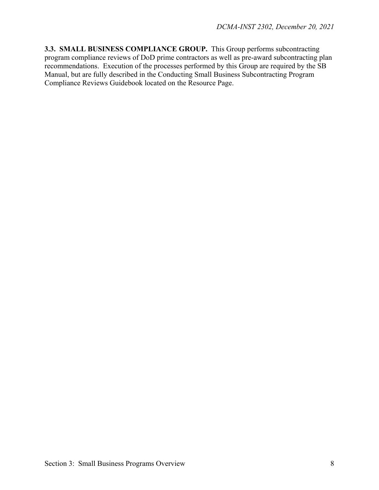**3.3. SMALL BUSINESS COMPLIANCE GROUP.** This Group performs subcontracting program compliance reviews of DoD prime contractors as well as pre-award subcontracting plan recommendations. Execution of the processes performed by this Group are required by the SB Manual, but are fully described in the Conducting Small Business Subcontracting Program Compliance Reviews Guidebook located on the Resource Page.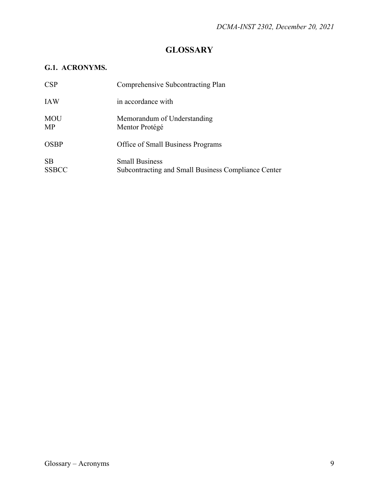# **GLOSSARY**

## **G.1. ACRONYMS.**

| CSP                       | Comprehensive Subcontracting Plan                                            |
|---------------------------|------------------------------------------------------------------------------|
| <b>IAW</b>                | in accordance with                                                           |
| <b>MOU</b><br>MP          | Memorandum of Understanding<br>Mentor Protégé                                |
| <b>OSBP</b>               | Office of Small Business Programs                                            |
| <b>SB</b><br><b>SSBCC</b> | <b>Small Business</b><br>Subcontracting and Small Business Compliance Center |